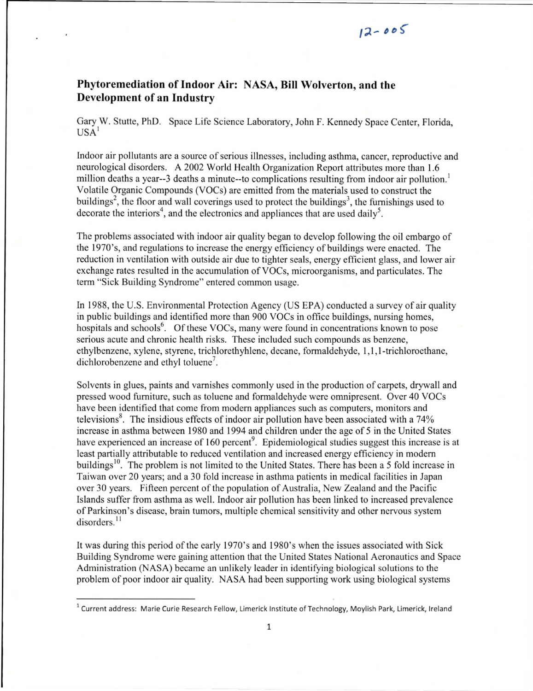## **Phytoremediation ofIndoor Air: NASA, Bill Wolverton, and the Development of an Industry**

Gary W. Stutte, PhD. Space Life Science Laboratory, John F. Kennedy Space Center, Florida, USA<sup>I</sup>

Indoor air pollutants are a source of serious illnesses, including asthma, cancer, reproductive and neurological disorders. A 2002 World Health Organization Report attributes more than 1.6 million deaths a year--3 deaths a minute--to complications resulting from indoor air pollution.<sup>1</sup> Volatile Organic Compounds (VOCs) are emitted from the materials used to construct the buildings<sup>2</sup>, the floor and wall coverings used to protect the buildings<sup>3</sup>, the furnishings used to decorate the interiors<sup>4</sup>, and the electronics and appliances that are used daily<sup>5</sup>.

The problems associated with indoor air quality began to develop following the oil embargo of the 1970's, and regulations to increase the energy efficiency of buildings were enacted. The reduction in ventilation with outside air due to tighter seals, energy efficient glass, and lower air exchange rates resulted in the accumulation of VOCs, microorganisms, and particulates. The term "Sick Building Syndrome" entered common usage.

In 1988, the U.S. Environmental Protection Agency (US EPA) conducted a survey of air quality in public buildings and identified more than 900 VOCs in office buildings, nursing homes, hospitals and schools<sup>6</sup>. Of these VOCs, many were found in concentrations known to pose serious acute and chronic health risks. These included such compounds as benzene, ethylbenzene, xylene, styrene, trichlorethyhlene, decane, formaldehyde, 1,1,I-trichloroethane, dichlorobenzene and ethyl toluene'.

Solvents in glues, paints and varnishes commonly used in the production of carpets, drywall and pressed wood furniture, such as toluene and formaldehyde were omnipresent. Over 40 VOCs have been identified that come from modem appliances such as computers, monitors and televisions<sup>8</sup>. The insidious effects of indoor air pollution have been associated with a 74% increase in asthma between 1980 and 1994 and children under the age of 5 in the United States have experienced an increase of 160 percent<sup>9</sup>. Epidemiological studies suggest this increase is at least partially attributable to reduced ventilation and increased energy efficiency in modem buildings<sup>10</sup>. The problem is not limited to the United States. There has been a 5 fold increase in Taiwan over 20 years; and a 30 fold increase in asthma patients in medical facilities in Japan over 30 years. Fifteen percent of the population of Australia, New Zealand and the Pacific Islands suffer from asthma as well. Indoor air pollution has been linked to increased prevalence of Parkinson's disease, brain tumors, multiple chemical sensitivity and other nervous system disorders.<sup>11</sup>

It was during this period of the early 1970's and 1980's when the issues associated with Sick Building Syndrome were gaining attention that the United States National Aeronautics and Space Administration (NASA) became an unlikely leader in identifying biological solutions to the problem of poor indoor air quality. NASA had been supporting work using biological systems

<sup>&</sup>lt;sup>1</sup> Current address: Marie Curie Research Fellow, Limerick Institute of Technology, Moylish Park, Limerick, Ireland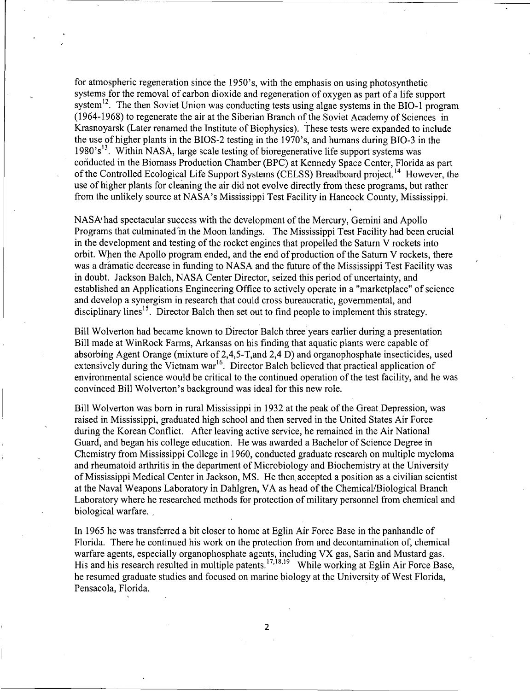for atmospheric regeneration since the 1950's, with the emphasis on using photosynthetic systems for the removal of carbon dioxide and regeneration of oxygen as part of a life support system<sup>12</sup>. The then Soviet Union was conducting tests using algae systems in the BIO-1 program (1964-1968) to regenerate the air at the Siberian Branch of the Soviet Academy of Sciences in Krasnoyarsk (Later renamed the Institute of Biophysics). These tests were expanded to include the use of higher plants in the BIOS-2 testing in the 1970's, and humans during BIO-3 in the  $1980's<sup>13</sup>$ . Within NASA, large scale testing of bioregenerative life support systems was conducted in the Biomass Production Chamber (BPC) at Kennedy Space Center, Florida as part of the Controlled Ecological Life Support Systems (CELSS) Breadboard project.<sup>14</sup> However, the use of higher plants for cleaning the air did not evolve directly from these programs, but rather from the unlikely source at NASA's Mississippi Test Facility in Hancock County, Mississippi.

NASA<sup> $i$ </sup>had spectacular success with the development of the Mercury, Gemini and Apollo Programs that culminated in the Moon landings. The Mississippi Test Facility had been crucial in the development and testing of the rocket engines that propelled the Saturn V rockets into orbit. When the Apollo program ended, and the end of production of the Saturn V rockets, there was a dramatic decrease in funding to NASA and the future of the Mississippi Test Facility was in doubt. Jackson Balch, NASA Center Director, seized this period of uncertainty, and established an Applications Engineering Office to actively operate in a "marketplace" of science and develop a synergism in research that could cross bureaucratic, governmental, and disciplinary lines<sup>15</sup>. Director Balch then set out to find people to implement this strategy.

Bill Wolverton had became known to Director Balch three years earlier during a presentation Bill made at WinRock Farms, Arkansas on his finding that aquatic plants were capable of absorbing Agent Orange (mixture of 2,4,5-T,and 2,4 D) and organophosphate insecticides, used extensively during the Vietnam war<sup>16</sup>. Director Balch believed that practical application of environmental science would be critical to the continued operation of the test facility, and he was convinced Bill Wolverton's background was ideal for this new role.

Bill Wolverton was born in rural Mississippi in 1932 at the peak of the Great Depression, was raised in Mississippi, graduated high school and then served in the United States Air Force during the Korean Conflict. After leaving active service, he remained in the Air National Guard, and began his college education. He was awarded a Bachelor of Science Degree in Chemistry from Mississippi College in 1960, conducted graduate research on multiple myeloma and rheumatoid arthritis in the department of Microbiology arid Biochemistry at the University ofMississippi Medical Center in Jackson, MS. He then,accepted a position as a civilian scientist at the Naval Weapons Laboratory in Dahlgren, VA as head of the Chemical/Biological Branch Laboratory where he researched methods for protection of military personnel from chemical and biological warfare.

In 1965 he was transferred a bit closer to home at Eglin Air Force Base in the panhandle of Florida. There he continued his work on the protection from and decontamination of, chemical warfare agents, especially organophosphate agents, including VX gas, Sarin and Mustard gas. His and his research resulted in multiple patents. <sup>17,18,19</sup> While working at Eglin Air Force Base, he resumed graduate studies and focused on marine biology at the University of West Florida, Pensacola, Florida.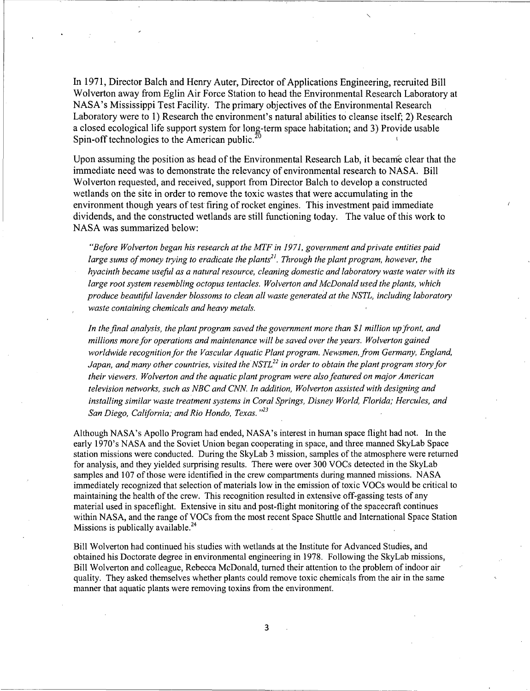In 1971, Director Balch and Henry Auter, Director of Applications Engineering, recruited Bill Wolverton away from Eglin Air Force Station to head the Environmental Research Laboratory at NASA's Mississippi Test Facility. The primary objectives of the Environmental Research Laboratory were to 1) Research the environment's natural abilities to cleanse itself; 2) Research a closed ecological life support system for long-term space habitation; and 3) Provide usable Spin-off technologies to the American public.<sup>2</sup>

Upon assuming the position as head of the Environmental Research Lab, it became clear that the immediate need was to demonstrate the relevancy of environmental research to NASA. Bill Wolverton requested, and received, support from Director Balch to develop a constructed wetlands on the site in order to remove the toxic wastes that were accumulating in the environment though years of test firing of rocket engines. This investment paid immediate dividends, and the constructed wetlands are still functioning today. The value of this work to NASA was summarized below:

*"Before Wolverton began his research at the MTF* in 1971, *government andprivate entities paid large sums ofmoney trying to eradicate the planti*<sup>l</sup> . *Through the plant program, however, the hyacinth became useful as a natural resource, cleaning domestic and laboratory waste water with* its *large root system resembling octopus tentacles. Wolverton and McDonald used the plants, which produce beautiful lavender blossoms to clean all waste generated at the NSTL, including laboratory waste containing chemicals and heavy metals.*

*In the final analysis, the plant program saved the government more than* \$1 *million up front, and millions more for operations and maintenance will be saved over the years. Wolverton gained worldwide recognition for the Vascular Aquatic Plant program. Newsmen, from Germany, England, Japan, and many other countries, visited the NSTL<sup>22</sup> in order to obtain the plant program story for their viewers. Wolverton and the aquatic plant program were also featured on major American television networks, such as NBC and CNN. In addition, Wolverton assisted with designing and installing similar waste treatment systems in Coral Springs, Disney World, Florida; Hercules, and San Diego, California; and Rio Hondo, Texas. ,,23*

Although NASA's Apollo Program had ended, NASA's interest in human space flight had not. In the early 1970's NASA and the Soviet Union began cooperating in space, and three manned SkyLab Space station missions were conducted. During the SkyLab 3 mission, samples of the atmosphere were returned for analysis, and they yielded surprising results. There were over 300 VOCs detected in the SkyLab samples and 107 of those were identified in the crew compartments during manned missions. NASA immediately recognized that selection of materials low in the emission oftoxic VOCs would be critical to maintaining the health of the crew. This recognition resulted in extensive off-gassing tests of any material used in spaceflight. Extensive in situ and post-flight monitoring of the spacecraft continues within NASA, and the range of VOCs from the most recent Space Shuttle and International Space Station Missions is publically available.<sup>24</sup>

Bill Wolverton had continued his studies with wetlands at the Institute for Advanced Studies, and obtained his Doctorate degree in environmental engineering in 1978. Following the SkyLab missions, Bill Wolverton and colleague, Rebecca McDonald, turned their attention to the problem ofindoor air quality. They asked themselves whether plants could remove toxic chemicals from the air in the same manner that aquatic plants were removing toxins from the environment.

-------------------------------------~----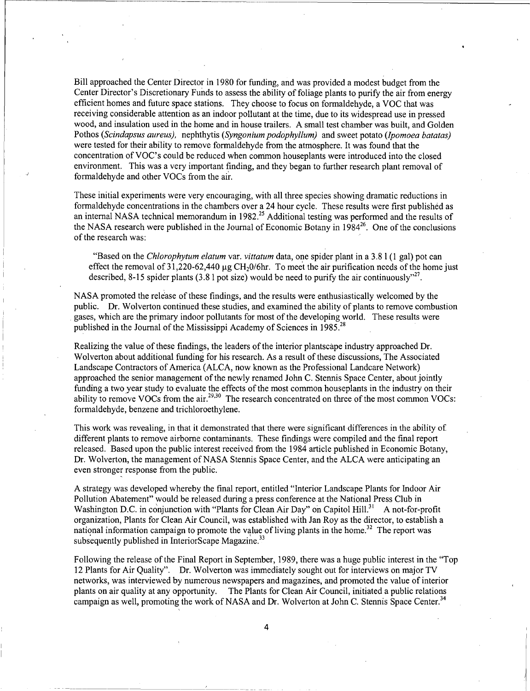Bill approached the Center Director in 1980 for funding, and was provided a modest budget from the Center Director's Discretionary Funds to assess the ability of foliage plants to purify the air from energy efficient homes and future space stations. They choose to focus on formaldehyde, a VOC that was receiving considerable attention as an indoor pollutant at the time, due to its widespread use in pressed wood, and insulation used in the home and in house trailers. A small test chamber was built, and Golden Pothos *(Scindapsus aureus),* nephthytis *(Syngonium podophyllum)* and sweet potato *(Ipomoea hatatas)* were tested for their ability to remove formaldehyde from the atmosphere. It was found that the concentration ofVOC's could be reduced when common houseplants were introduced into the closed environment. This was a very important finding, and they began to further research plant removal of formaldehyde and other VOCs from the air.

These initial experiments were very encouraging, with all three species showing dramatic reductions in formaldehyde concentrations in the chambers over a 24 hour cycle. These results were first published as an internal NASA technical memorandum in 1982.<sup>25</sup> Additional testing was performed and the results of the NASA research were published in the Journal of Economic Botany in  $1984^{26}$ . One of the conclusions of the research was:

"Based on the *Chlorophytum elatum* var. *vittatum* data, one spider plant in a 3.8 I (l gal) pot can effect the removal of 31,220-62,440  $\mu$ g CH<sub>2</sub>0/6hr. To meet the air purification needs of the home just described, 8-15 spider plants (3.8 l pot size) would be need to purify the air continuously"<sup>27</sup>.

NASA promoted the release of these findings, and the results were enthusiastically welcomed by the public. Dr. Wolverton continued these studies, and examined the ability of plants to remove combustion gases, which are the primary indoor pollutants for most of the developing world. These results were published in the Journal of the Mississippi Academy of Sciences in 1985.<sup>28</sup>

Realizing the value of these findings, the leaders of the interior plantscape industry approached Dr. Wolverton about additional funding for his research. As a result of these discussions, The Associated Landscape Contractors of America (ALCA, now known as the Professional Landcare Network) approached the senior management of the newly renamed John C. Stennis Space Center, about jointly funding a two year study to evaluate the effects of the most common houseplants in the industry on their ability to remove VOCs from the air.<sup>29,30</sup> The research concentrated on three of the most common VOCs: formaldehyde, benzene and trichloroethylene.

This work was revealing, in that it demonstrated that there were significant differences in the ability of different plants to remove airborne contaminants. These findings were compiled and the final report released. Based upon the public interest received from the 1984 article published in Economic Botany, Dr. Wolverton, the management of NASA Stennis Space Center, and the ALCA were anticipating an even stronger response from the public.

A strategy was developed whereby the final report, entitled "Interior Landscape Plants for Indoor Air Pollution Abatement" would be released during a press conference at the National Press Club in Washington D.C. in conjunction with "Plants for Clean Air Day" on Capitol Hill.<sup>31</sup> A not-for-profit organization, Plants for Clean Air Council, was established with Jan Roy as the director, to establish a national information campaign to promote the value of living plants in the home.<sup>32</sup> The report was subsequently published in InteriorScape Magazine.<sup>33</sup>

Following the release ofthe Final Report in September, 1989, there was a huge public interest in the "Top 12 Plants for Air Quality". Dr. Wolverton was immediately sought out for interviews on major TV networks, was interviewed by numerous newspapers and magazines, and promoted the value of interior plants on air quality at any opportunity. The Plants for Clean Air Council, initiated a public relations campaign as well, promoting the work of NASA and Dr. Wolverton at John C. Stennis Space Center.<sup>34</sup>

4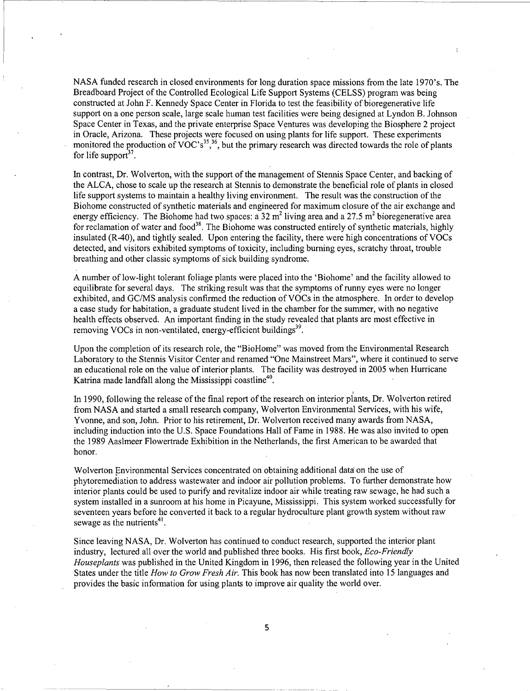NASA funded research in closed environments for long duration space missions from the late 1970's. The Breadboard Project of the Controlled Ecological Life Support Systems (CELSS) program was being constructed at John F. Kennedy Space Center in Florida to test the feasibility of bioregenerative life support on a one person scale, large scale human test facilities were being designed at Lyndon B. Johnson Space Center in Texas, and the private enterprise Space Ventures was developing the Biosphere 2 project in Oracle, Arizona. These projects were focused on using plants for life support. These experiments monitored the production of  $VOC's<sup>35</sup>,<sup>36</sup>$ , but the primary research was directed towards the role of plants for life support<sup>37</sup>

In contrast, Dr. Wolverton, with the support of the management of Stennis Space Center, and backing of the ALCA, chose to scale up the research at Stennis to demonstrate the beneficial role of plants in closed life support systems to maintain a healthy living environment. The result was the construction ofthe Biohome constructed of synthetic materials and engineered for maximum closure of the air exchange and energy efficiency. The Biohome had two spaces: a 32 m<sup>2</sup> living area and a 27.5 m<sup>2</sup> bioregenerative area for reclamation of water and food<sup>38</sup>. The Biohome was constructed entirely of synthetic materials, highly insulated  $(R-40)$ , and tightly sealed. Upon entering the facility, there were high concentrations of VOCs detected, and visitors exhibited symptoms of toxicity, including burning eyes, scratchy throat, trouble breathing and other classic symptoms of sick building syndrome.

A number of low-light tolerant foliage plants were placed into the'Biohome' and the facility allowed to equilibrate for several days. The striking result was that the symptoms of runny eyes were no longer exhibited, and *GC/MS* analysis confirmed the reduction of VOCs in the atmosphere. In order to develop a case study for habitation, a graduate student lived in the chamber for the summer, with no negative health effects observed. An important finding in the study revealed that plants are most effective in removing VOCs in non-ventilated, energy-efficient buildings<sup>39</sup>.

Upon the completion ofits research role, the "BioHome" was moved from the Environmental Research Laboratory to the Stennis Visitor Center and renamed "One Mainstreet Mars", where it continued to serve an educational role on the value of interior plants. The facility was destroyed in 2005 when Hurricane Katrina made landfall along the Mississippi coastline<sup>40</sup>.

In 1990, following the release of the final report of the research on interior plants, Dr. Wolverton retired from NASA and started a small research company, Wolverton Environmental Services, with his wife, Yvonne, and son, John. Prior to his retirement, Dr. Wolverton received many awards from NASA, including induction into the U.S. Space Foundations Hall of Fame in 1988. He was also invited to open the 1989 Aaslmeer Flowertrade Exhibition in the Netherlands, the first American to be awarded that honor.

Wolverton Environmental Services concentrated on obtaining additional data on the use of phytoremediation to address wastewater and indoor air pollution problems. To further demonstrate how interior plants could be used to purify and revitalize indoor air while treating raw sewage, he had such a system installed in a sunroom at his home in Picayune, Mississippi, This system worked successfully for seventeen years before he converted it back to a regular hydroculture plant growth system without raw sewage as the nutrients<sup>41</sup>.

Since leaving NASA, Dr. Wolverton has continued to conduct research, supported the interior plant industry, lectured all over the world and published three books. His first book, *Eco-Friendly Houseplants* was published in the United Kingdom in 1996, then released the following year in the United States under the title *How to Grow Fresh Air.* This book has now been translated into 15 languages and provides the basic information for using plants to improve air quality the world over.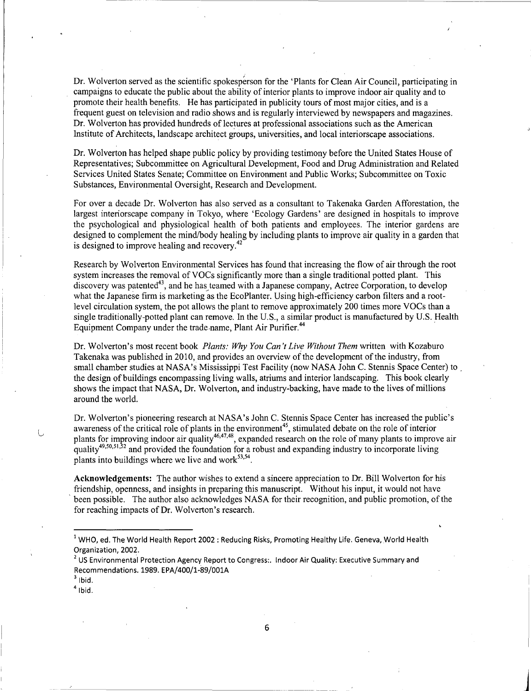Dr. Wolverton served as the scientific spokesperson for the 'Plants for Clean Air Council, participating in campaigns to educate the public about the ability of interior plants to improve indoor air quality and to promote their health benefits. He has participated in publicity tours of most major cities, and is a frequent guest on television and radio shows and is regularly interviewed by newspapers and magazines. Dr. Wolverton has provided hundreds of lectures at professional associations such as the American Institute of Architects, landscape architect gfoups, universities, and local interiorscape associations.

Dr. Wolverton has helped shape public policy by providing testimony before the United States House of Representatives; Subcommittee on Agricultural Development, Food and Drug Administration and Related Services United States Senate; Committee on Environment and Public Works; Subcommittee on Toxic Substances, Environmental Oversight, Research and Development.

For over a decade Dr. Wolverton has also served as a consultant to Takenaka Garden Afforestation, the largest interiorscape company in Tokyo, where 'Ecology Gardens' are designed in hospitals to improve the psychological and physiological health of both patients and employees. The interior gardens are designed to complement the mind/body healing by including plants to improve air quality in a garden that is designed to improve healing and recovery.<sup>42</sup>

Research by Wolverton Environmental Services has found that increasing the flow of air through the root system increases the removal of VOCs significantly more than a single traditional potted plant. This discovery was patented<sup>43</sup>, and he has teamed with a Japanese company, Actree Corporation, to develop what the Japanese firm is marketing as the EcoPlanter. Using high-efficiency carbon filters and a rootlevel circulation system, the pot allows the plant to remove approximately 200 times more VOCs than a single traditionally-potted plant can remove. In the U.S., a similar product is manufactured by U.S. Health Equipment Company under the trade name, Plant Air Purifier.<sup>44</sup>

Dr. Wolverton's most recent book *Plants: Why You Can't Live Without Them* written with Kozaburo Takenaka was published in 2010, and provides an overview of the development of the industry, from small chamber studies at NASA's Mississippi Test Facility (now NASA John C. Stennis Space Center) to. the design of buildings encompassing living walls, atriums and interior landscaping. This book clearly shows the impact that NASA, Dr. Wolverton, and industry-backing, have made to the lives of millions around the world.

Dr. Wolverton's pioneering research at NASA's John C. Stennis Space Center has increased the public's awareness of the critical role of plants in the environment<sup>45</sup>, stimulated debate on the role of interior plants for improving indoor air quality<sup>46,47,48</sup>, expanded research on the role of many plants to improve air quality<sup>49,50,51,52</sup> and provided the foundation for a robust and expanding industry to incorporate living plants into buildings where we live and work $53,54$ .

**Acknowledgements:** The author wishes to extend a sincere appreciation to Dr. Bill Wolverton for his friendship, openness, and insights in preparing this manuscript. Without his input, it would not have been possible. The author also acknowledges NASA for their recognition, and public promotion, of the for reaching impacts of Dr. Wolverton's research.

J

<sup>1</sup> WHO, ed. The World Health Report 2002 : Reducing Risks, Promoting Healthy Life. Geneva, World Health Organization, 2002.

 $<sup>2</sup>$  US Environmental Protection Agency Report to Congress:. Indoor Air Quality: Executive Summary and</sup> Recommendations. 1989. EPA/400/1-89/001A

 $3$  Ibid.

 $<sup>4</sup>$  Ibid.</sup>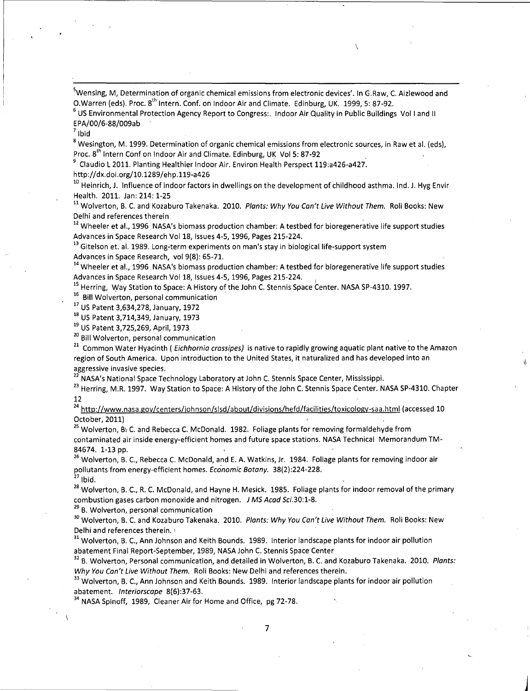<sup>5</sup>Wensing, M, Determination of organic chemical emissions from electronic devices'. In G.Raw, C. Aizlewood and O.Warren (eds). Proc. 8<sup>th</sup> Intern. Conf. on Indoor Air and Climate. Edinburg, UK. 1999, 5: 87-92.

 $\lambda$ 

<sup>6</sup> US Environmental Protection Agency Report to Congress:. Indoor Air Quality in Public Buildings Vol I and II EPA/00/6-88/009ab

 $<sup>7</sup>$  lbid</sup>

<sup>8</sup> Wesington, M. 1999. Determination of organic chemical emissions from electronic sources, in Raw et al. (eds), Proc. 8<sup>th</sup> Intern Conf on Indoor Air and Climate. Edinburg, UK Vol 5: 87-92

<sup>9</sup> Claudio L 2011. Planting Healthier Indoor Air. Environ Health Perspect 119:a426-a427.

http://dx.doi.org/10.1289/ehp.119-a426

 $^{10}$  Heinrich, J. Influence of indoor factors in dwellings on the development of childhood asthma. Ind. J. Hyg Envir Health. 2011. Jan: 214: 1-25

<sup>11</sup> Wolverton, B. C. and Kozaburo Takenaka. 2010. Plants: Why You Can't Live Without Them. Roli Books: New Delhi and references therein

<sup>12</sup> Wheeler et al., 1996 NASA's biomass production chamber: A testbed for bioregenerative life support studies Advances in Space Research Vol 18, Issues 4-5,1996, Pages 215-224.

<sup>13</sup> Gitelson et. al. 1989. Long-term experiments on man's stay in biological life-support system

Advances in Space Research, vol 9(8): 65-71.

<sup>14</sup> Wheeler et al., 1996 NASA's biomass production chamber: A testbed for bioregenerative life support studies Advances in Space Research Vol 18, Issues 4-5, 1996, Pages 215-224.

<sup>15</sup> Herring, Way Station to Space: A History of the John C. Stennis Space Center. NASA SP-4310. 1997.

<sup>16</sup> Bill Wolverton, personal communication

<sup>17</sup> US Patent 3,634,278, January, 1972

<sup>18</sup> US Patent 3,714,349, January, 1973

<sup>19</sup> US Patent 3,725,269, April, 1973

<sup>16</sup> US Patent 3,714,349, January, 1973<br><sup>19</sup> US Patent 3,725,269, April, 1973<br><sup>20</sup> Bill Wolverton, personal communication<br><sup>21</sup> Common Water Hyacinth ( *Eichhornia crassipes)* is native to rapidly growing aquatic plant nati region of South America. Upon introduction to the United States, it naturalized and has developed into an aggressive invasive species.

 $^2$  NASA's National Space Technology Laboratory at John C. Stennis Space Center, Mississippi.

<sup>23</sup> Herring, M.R. 1997. Way Station to Space: A History of the John C. Stennis Space Center. NASA SP-4310. Chapter 12

<sup>24</sup> http://www.nasa.gov/centers/johnson/slsd/about/divisions/hefd/facilities/toxicology-saa.html (accessed 10 October, 2011)

<sup>25</sup> Wolverton, B<sup>y</sup> C. and Rebecca C. McDonald. 1982. Foliage plants for removing formaldehyde from contaminated air inside energy-efficient homes and future space stations. NASA Technical Memorandum TM-84674. 1-13 pp.

<sup>26</sup> Wolverton, B. C., Rebecca C. McDonald, and E. A. Watkins, Jr. 1984. Foliage plants for removing indoor air pollutants from energy-efficient homes. Economic Botany. 38(2):224-228.  $27$  Ibid.

<sup>28</sup> Wolverton, B. c., R. C. McDonald, and Hayne H. Mesick. 1985. Foliage plants for indoor removal of the primary combustion gases carbon monoxide and nitrogen. J MS Acad Sci.30:1-8.

<sup>29</sup> B. Wolverton, personal communication

<sup>30</sup> Wolverton, B. C. and Kozaburo Takenaka. 2010. Plants: Why You Can't Live Without Them. Roli Books: New Delhi and references therein. )

<sup>31</sup> Wolverton, B. C., Ann Johnson and Keith Bounds. 1989. Interior landscape plants for indoor air pollution abatement Final Report-September, 1989, NASA John C. Stennis Space Center

<sup>32</sup> B. Wolverton, Personal communication, and detailed in Wolverton, B. C. and Kozaburo Takenaka. 2010. Plants: Why You Can't Live Without Them. Roli Books: New Delhi and references therein.

<sup>33</sup> Wolverton, B. C., Ann Johnson and Keith Bounds. 1989. Interior landscape plants for indoor air pollution abatement. Interiorscape 8(6):37-63.

<sup>34</sup> NASA Spinoff, 1989, Cleaner Air for Home and Office, pg 72-78.

J